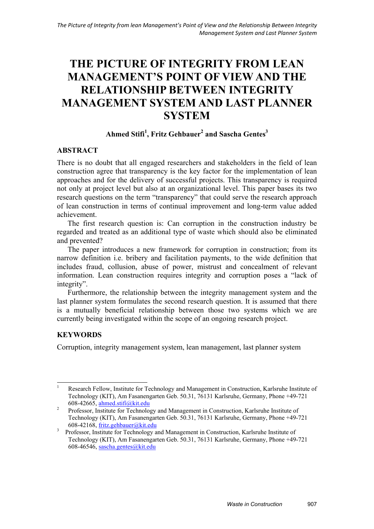# **THE PICTURE OF INTEGRITY FROM LEAN MANAGEMENT'S POINT OF VIEW AND THE RELATIONSHIP BETWEEN INTEGRITY MANAGEMENT SYSTEM AND LAST PLANNER SYSTEM**

## $A$ hmed Stifi<sup>1</sup>, Fritz Gehbauer<sup>2</sup> and Sascha Gentes<sup>3</sup>

## **ABSTRACT**

There is no doubt that all engaged researchers and stakeholders in the field of lean construction agree that transparency is the key factor for the implementation of lean approaches and for the delivery of successful projects. This transparency is required not only at project level but also at an organizational level. This paper bases its two research questions on the term "transparency" that could serve the research approach of lean construction in terms of continual improvement and long-term value added achievement.

The first research question is: Can corruption in the construction industry be regarded and treated as an additional type of waste which should also be eliminated and prevented?

The paper introduces a new framework for corruption in construction; from its narrow definition i.e. bribery and facilitation payments, to the wide definition that includes fraud, collusion, abuse of power, mistrust and concealment of relevant information. Lean construction requires integrity and corruption poses a "lack of integrity".

Furthermore, the relationship between the integrity management system and the last planner system formulates the second research question. It is assumed that there is a mutually beneficial relationship between those two systems which we are currently being investigated within the scope of an ongoing research project.

# **KEYWORDS**

Corruption, integrity management system, lean management, last planner system

 $\frac{1}{1}$  Research Fellow, Institute for Technology and Management in Construction, Karlsruhe Institute of Technology (KIT), Am Fasanengarten Geb. 50.31, 76131 Karlsruhe, Germany, Phone +49-721 608-42665, ahmed.stifi@kit.edu

Professor, Institute for Technology and Management in Construction, Karlsruhe Institute of Technology (KIT), Am Fasanengarten Geb. 50.31, 76131 Karlsruhe, Germany, Phone +49-721 608-42168, fritz.gehbauer@kit.edu

<sup>&</sup>lt;sup>3</sup> Professor, Institute for Technology and Management in Construction, Karlsruhe Institute of Technology (KIT), Am Fasanengarten Geb. 50.31, 76131 Karlsruhe, Germany, Phone +49-721 608-46546, sascha.gentes@kit.edu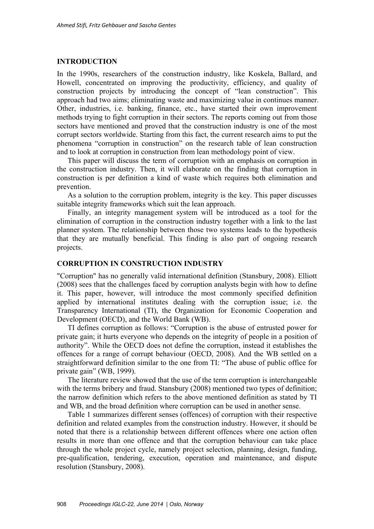#### **INTRODUCTION**

In the 1990s, researchers of the construction industry, like Koskela, Ballard, and Howell, concentrated on improving the productivity, efficiency, and quality of construction projects by introducing the concept of "lean construction". This approach had two aims; eliminating waste and maximizing value in continues manner. Other, industries, i.e. banking, finance, etc., have started their own improvement methods trying to fight corruption in their sectors. The reports coming out from those sectors have mentioned and proved that the construction industry is one of the most corrupt sectors worldwide. Starting from this fact, the current research aims to put the phenomena "corruption in construction" on the research table of lean construction and to look at corruption in construction from lean methodology point of view.

This paper will discuss the term of corruption with an emphasis on corruption in the construction industry. Then, it will elaborate on the finding that corruption in construction is per definition a kind of waste which requires both elimination and prevention.

As a solution to the corruption problem, integrity is the key. This paper discusses suitable integrity frameworks which suit the lean approach.

Finally, an integrity management system will be introduced as a tool for the elimination of corruption in the construction industry together with a link to the last planner system. The relationship between those two systems leads to the hypothesis that they are mutually beneficial. This finding is also part of ongoing research projects.

#### **CORRUPTION IN CONSTRUCTION INDUSTRY**

"Corruption" has no generally valid international definition (Stansbury, 2008). Elliott (2008) sees that the challenges faced by corruption analysts begin with how to define it. This paper, however, will introduce the most commonly specified definition applied by international institutes dealing with the corruption issue; i.e. the Transparency International (TI), the Organization for Economic Cooperation and Development (OECD), and the World Bank (WB).

TI defines corruption as follows: "Corruption is the abuse of entrusted power for private gain; it hurts everyone who depends on the integrity of people in a position of authority". While the OECD does not define the corruption, instead it establishes the offences for a range of corrupt behaviour (OECD, 2008). And the WB settled on a straightforward definition similar to the one from TI: "The abuse of public office for private gain" (WB, 1999).

The literature review showed that the use of the term corruption is interchangeable with the terms bribery and fraud. Stansbury (2008) mentioned two types of definition; the narrow definition which refers to the above mentioned definition as stated by TI and WB, and the broad definition where corruption can be used in another sense.

Table 1 summarizes different senses (offences) of corruption with their respective definition and related examples from the construction industry. However, it should be noted that there is a relationship between different offences where one action often results in more than one offence and that the corruption behaviour can take place through the whole project cycle, namely project selection, planning, design, funding, pre-qualification, tendering, execution, operation and maintenance, and dispute resolution (Stansbury, 2008).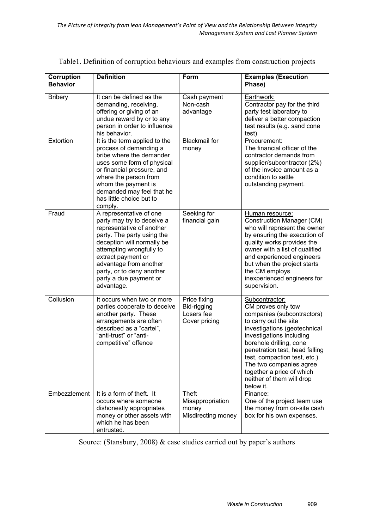| Corruption<br><b>Behavior</b> | <b>Definition</b>                                                                                                                                                                                                                                                                               | Form                                                            | <b>Examples (Execution</b><br>Phase)                                                                                                                                                                                                                                                                                                                    |
|-------------------------------|-------------------------------------------------------------------------------------------------------------------------------------------------------------------------------------------------------------------------------------------------------------------------------------------------|-----------------------------------------------------------------|---------------------------------------------------------------------------------------------------------------------------------------------------------------------------------------------------------------------------------------------------------------------------------------------------------------------------------------------------------|
| <b>Bribery</b>                | It can be defined as the<br>demanding, receiving,<br>offering or giving of an<br>undue reward by or to any<br>person in order to influence<br>his behavior.                                                                                                                                     | Cash payment<br>Non-cash<br>advantage                           | Earthwork:<br>Contractor pay for the third<br>party test laboratory to<br>deliver a better compaction<br>test results (e.g. sand cone<br>test)                                                                                                                                                                                                          |
| Extortion                     | It is the term applied to the<br>process of demanding a<br>bribe where the demander<br>uses some form of physical<br>or financial pressure, and<br>where the person from<br>whom the payment is<br>demanded may feel that he<br>has little choice but to<br>comply.                             | <b>Blackmail</b> for<br>money                                   | Procurement:<br>The financial officer of the<br>contractor demands from<br>supplier/subcontractor (2%)<br>of the invoice amount as a<br>condition to settle<br>outstanding payment.                                                                                                                                                                     |
| Fraud                         | A representative of one<br>party may try to deceive a<br>representative of another<br>party. The party using the<br>deception will normally be<br>attempting wrongfully to<br>extract payment or<br>advantage from another<br>party, or to deny another<br>party a due payment or<br>advantage. | Seeking for<br>financial gain                                   | Human resource:<br><b>Construction Manager (CM)</b><br>who will represent the owner<br>by ensuring the execution of<br>quality works provides the<br>owner with a list of qualified<br>and experienced engineers<br>but when the project starts<br>the CM employs<br>inexperienced engineers for<br>supervision.                                        |
| Collusion                     | It occurs when two or more<br>parties cooperate to deceive<br>another party. These<br>arrangements are often<br>described as a "cartel",<br>"anti-trust" or "anti-<br>competitive" offence                                                                                                      | Price fixing<br>Bid-rigging<br>Losers fee<br>Cover pricing      | Subcontractor:<br>CM proves only tow<br>companies (subcontractors)<br>to carry out the site<br>investigations (geotechnical<br>investigations including<br>borehole drilling, cone<br>penetration test, head falling<br>test, compaction test, etc.).<br>The two companies agree<br>together a price of which<br>neither of them will drop<br>below it. |
| Embezzlement                  | It is a form of theft. It<br>occurs where someone<br>dishonestly appropriates<br>money or other assets with<br>which he has been<br>entrusted.                                                                                                                                                  | <b>Theft</b><br>Misappropriation<br>money<br>Misdirecting money | Finance:<br>One of the project team use<br>the money from on-site cash<br>box for his own expenses.                                                                                                                                                                                                                                                     |

Table1. Definition of corruption behaviours and examples from construction projects

Source: (Stansbury, 2008) & case studies carried out by paper's authors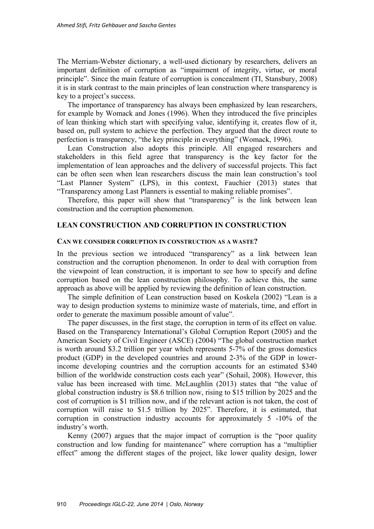The Merriam-Webster dictionary, a well-used dictionary by researchers, delivers an important definition of corruption as "impairment of integrity, virtue, or moral principle". Since the main feature of corruption is concealment (TI, Stansbury, 2008) it is in stark contrast to the main principles of lean construction where transparency is key to a project's success.

The importance of transparency has always been emphasized by lean researchers, for example by Womack and Jones (1996). When they introduced the five principles of lean thinking which start with specifying value, identifying it, creates flow of it, based on, pull system to achieve the perfection. They argued that the direct route to perfection is transparency, "the key principle in everything" (Womack, 1996).

Lean Construction also adopts this principle. All engaged researchers and stakeholders in this field agree that transparency is the key factor for the implementation of lean approaches and the delivery of successful projects. This fact can be often seen when lean researchers discuss the main lean construction's tool "Last Planner System" (LPS), in this context, Fauchier (2013) states that "Transparency among Last Planners is essential to making reliable promises".

Therefore, this paper will show that "transparency" is the link between lean construction and the corruption phenomenon.

#### **LEAN CONSTRUCTION AND CORRUPTION IN CONSTRUCTION**

#### **CAN WE CONSIDER CORRUPTION IN CONSTRUCTION AS A WASTE?**

In the previous section we introduced "transparency" as a link between lean construction and the corruption phenomenon. In order to deal with corruption from the viewpoint of lean construction, it is important to see how to specify and define corruption based on the lean construction philosophy. To achieve this, the same approach as above will be applied by reviewing the definition of lean construction.

The simple definition of Lean construction based on Koskela (2002) "Lean is a way to design production systems to minimize waste of materials, time, and effort in order to generate the maximum possible amount of value".

The paper discusses, in the first stage, the corruption in term of its effect on value. Based on the Transparency International's Global Corruption Report (2005) and the American Society of Civil Engineer (ASCE) (2004) "The global construction market is worth around \$3.2 trillion per year which represents 5-7% of the gross domestics product (GDP) in the developed countries and around 2-3% of the GDP in lowerincome developing countries and the corruption accounts for an estimated \$340 billion of the worldwide construction costs each year" (Sohail, 2008). However, this value has been increased with time. McLaughlin (2013) states that "the value of global construction industry is \$8.6 trillion now, rising to \$15 trillion by 2025 and the cost of corruption is \$1 trillion now, and if the relevant action is not taken, the cost of corruption will raise to \$1.5 trillion by 2025". Therefore, it is estimated, that corruption in construction industry accounts for approximately 5 -10% of the industry's worth.

Kenny (2007) argues that the major impact of corruption is the "poor quality construction and low funding for maintenance" where corruption has a "multiplier effect" among the different stages of the project, like lower quality design, lower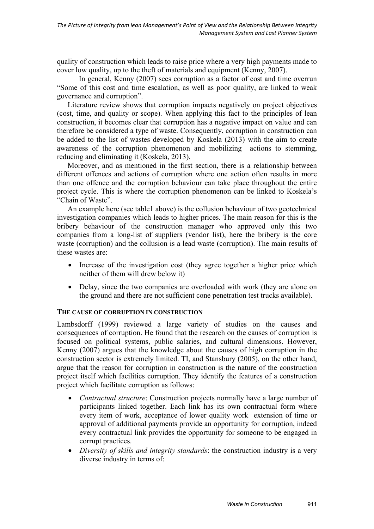quality of construction which leads to raise price where a very high payments made to cover low quality, up to the theft of materials and equipment (Kenny, 2007).

 In general, Kenny (2007) sees corruption as a factor of cost and time overrun "Some of this cost and time escalation, as well as poor quality, are linked to weak governance and corruption".

Literature review shows that corruption impacts negatively on project objectives (cost, time, and quality or scope). When applying this fact to the principles of lean construction, it becomes clear that corruption has a negative impact on value and can therefore be considered a type of waste. Consequently, corruption in construction can be added to the list of wastes developed by Koskela (2013) with the aim to create awareness of the corruption phenomenon and mobilizing actions to stemming, reducing and eliminating it (Koskela, 2013).

Moreover, and as mentioned in the first section, there is a relationship between different offences and actions of corruption where one action often results in more than one offence and the corruption behaviour can take place throughout the entire project cycle. This is where the corruption phenomenon can be linked to Koskela's "Chain of Waste".

An example here (see table1 above) is the collusion behaviour of two geotechnical investigation companies which leads to higher prices. The main reason for this is the bribery behaviour of the construction manager who approved only this two companies from a long-list of suppliers (vendor list), here the bribery is the core waste (corruption) and the collusion is a lead waste (corruption). The main results of these wastes are:

- Increase of the investigation cost (they agree together a higher price which neither of them will drew below it)
- Delay, since the two companies are overloaded with work (they are alone on the ground and there are not sufficient cone penetration test trucks available).

### **THE CAUSE OF CORRUPTION IN CONSTRUCTION**

Lambsdorff (1999) reviewed a large variety of studies on the causes and consequences of corruption. He found that the research on the causes of corruption is focused on political systems, public salaries, and cultural dimensions. However, Kenny (2007) argues that the knowledge about the causes of high corruption in the construction sector is extremely limited. TI, and Stansbury (2005), on the other hand, argue that the reason for corruption in construction is the nature of the construction project itself which facilities corruption. They identify the features of a construction project which facilitate corruption as follows:

- *Contractual structure*: Construction projects normally have a large number of participants linked together. Each link has its own contractual form where every item of work, acceptance of lower quality work extension of time or approval of additional payments provide an opportunity for corruption, indeed every contractual link provides the opportunity for someone to be engaged in corrupt practices.
- *Diversity of skills and integrity standards*: the construction industry is a very diverse industry in terms of: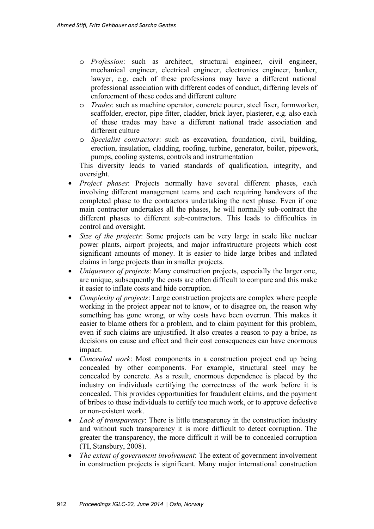- o *Profession*: such as architect, structural engineer, civil engineer, mechanical engineer, electrical engineer, electronics engineer, banker, lawyer, e.g. each of these professions may have a different national professional association with different codes of conduct, differing levels of enforcement of these codes and different culture
- o *Trades*: such as machine operator, concrete pourer, steel fixer, formworker, scaffolder, erector, pipe fitter, cladder, brick layer, plasterer, e.g. also each of these trades may have a different national trade association and different culture
- o *Specialist contractors*: such as excavation, foundation, civil, building, erection, insulation, cladding, roofing, turbine, generator, boiler, pipework, pumps, cooling systems, controls and instrumentation

This diversity leads to varied standards of qualification, integrity, and oversight.

- *Project phases*: Projects normally have several different phases, each involving different management teams and each requiring handovers of the completed phase to the contractors undertaking the next phase. Even if one main contractor undertakes all the phases, he will normally sub-contract the different phases to different sub-contractors. This leads to difficulties in control and oversight.
- *Size of the projects*: Some projects can be very large in scale like nuclear power plants, airport projects, and major infrastructure projects which cost significant amounts of money. It is easier to hide large bribes and inflated claims in large projects than in smaller projects.
- *Uniqueness of projects*: Many construction projects, especially the larger one, are unique, subsequently the costs are often difficult to compare and this make it easier to inflate costs and hide corruption.
- *Complexity of projects*: Large construction projects are complex where people working in the project appear not to know, or to disagree on, the reason why something has gone wrong, or why costs have been overrun. This makes it easier to blame others for a problem, and to claim payment for this problem, even if such claims are unjustified. It also creates a reason to pay a bribe, as decisions on cause and effect and their cost consequences can have enormous impact.
- *Concealed work*: Most components in a construction project end up being concealed by other components. For example, structural steel may be concealed by concrete. As a result, enormous dependence is placed by the industry on individuals certifying the correctness of the work before it is concealed. This provides opportunities for fraudulent claims, and the payment of bribes to these individuals to certify too much work, or to approve defective or non-existent work.
- *Lack of transparency*: There is little transparency in the construction industry and without such transparency it is more difficult to detect corruption. The greater the transparency, the more difficult it will be to concealed corruption (TI, Stansbury, 2008).
- *The extent of government involvement*: The extent of government involvement in construction projects is significant. Many major international construction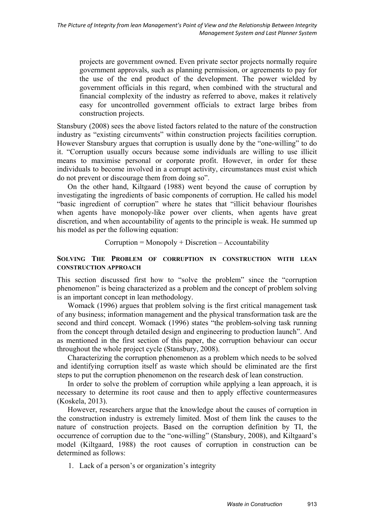projects are government owned. Even private sector projects normally require government approvals, such as planning permission, or agreements to pay for the use of the end product of the development. The power wielded by government officials in this regard, when combined with the structural and financial complexity of the industry as referred to above, makes it relatively easy for uncontrolled government officials to extract large bribes from construction projects.

Stansbury (2008) sees the above listed factors related to the nature of the construction industry as "existing circumvents" within construction projects facilities corruption. However Stansbury argues that corruption is usually done by the "one-willing" to do it. "Corruption usually occurs because some individuals are willing to use illicit means to maximise personal or corporate profit. However, in order for these individuals to become involved in a corrupt activity, circumstances must exist which do not prevent or discourage them from doing so".

On the other hand, Kiltgaard (1988) went beyond the cause of corruption by investigating the ingredients of basic components of corruption. He called his model "basic ingredient of corruption" where he states that "illicit behaviour flourishes when agents have monopoly-like power over clients, when agents have great discretion, and when accountability of agents to the principle is weak. He summed up his model as per the following equation:

 $Corruption = Monopoly + Discretion - Accountability$ 

### **SOLVING THE PROBLEM OF CORRUPTION IN CONSTRUCTION WITH LEAN CONSTRUCTION APPROACH**

This section discussed first how to "solve the problem" since the "corruption phenomenon" is being characterized as a problem and the concept of problem solving is an important concept in lean methodology.

Womack (1996) argues that problem solving is the first critical management task of any business; information management and the physical transformation task are the second and third concept. Womack (1996) states "the problem-solving task running from the concept through detailed design and engineering to production launch". And as mentioned in the first section of this paper, the corruption behaviour can occur throughout the whole project cycle (Stansbury, 2008).

Characterizing the corruption phenomenon as a problem which needs to be solved and identifying corruption itself as waste which should be eliminated are the first steps to put the corruption phenomenon on the research desk of lean construction.

In order to solve the problem of corruption while applying a lean approach, it is necessary to determine its root cause and then to apply effective countermeasures (Koskela, 2013).

However, researchers argue that the knowledge about the causes of corruption in the construction industry is extremely limited. Most of them link the causes to the nature of construction projects. Based on the corruption definition by TI, the occurrence of corruption due to the "one-willing" (Stansbury, 2008), and Kiltgaard's model (Kiltgaard, 1988) the root causes of corruption in construction can be determined as follows:

1. Lack of a person's or organization's integrity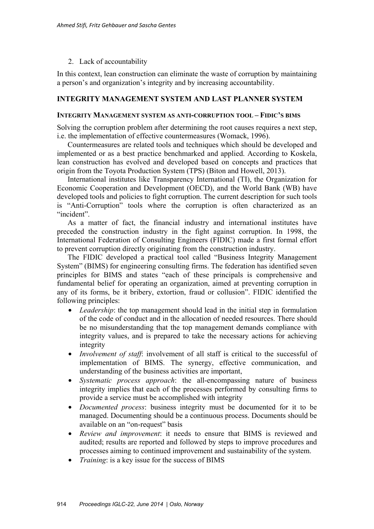## 2. Lack of accountability

In this context, lean construction can eliminate the waste of corruption by maintaining a person's and organization's integrity and by increasing accountability.

## **INTEGRITY MANAGEMENT SYSTEM AND LAST PLANNER SYSTEM**

#### **INTEGRITY MANAGEMENT SYSTEM AS ANTI-CORRUPTION TOOL – FIDIC'S BIMS**

Solving the corruption problem after determining the root causes requires a next step, i.e. the implementation of effective countermeasures (Womack, 1996).

Countermeasures are related tools and techniques which should be developed and implemented or as a best practice benchmarked and applied. According to Koskela, lean construction has evolved and developed based on concepts and practices that origin from the Toyota Production System (TPS) (Biton and Howell, 2013).

International institutes like Transparency International (TI), the Organization for Economic Cooperation and Development (OECD), and the World Bank (WB) have developed tools and policies to fight corruption. The current description for such tools is "Anti-Corruption" tools where the corruption is often characterized as an "incident".

As a matter of fact, the financial industry and international institutes have preceded the construction industry in the fight against corruption. In 1998, the International Federation of Consulting Engineers (FIDIC) made a first formal effort to prevent corruption directly originating from the construction industry.

The FIDIC developed a practical tool called "Business Integrity Management System" (BIMS) for engineering consulting firms. The federation has identified seven principles for BIMS and states "each of these principals is comprehensive and fundamental belief for operating an organization, aimed at preventing corruption in any of its forms, be it bribery, extortion, fraud or collusion". FIDIC identified the following principles:

- *Leadership*: the top management should lead in the initial step in formulation of the code of conduct and in the allocation of needed resources. There should be no misunderstanding that the top management demands compliance with integrity values, and is prepared to take the necessary actions for achieving integrity
- *Involvement of staff*: involvement of all staff is critical to the successful of implementation of BIMS. The synergy, effective communication, and understanding of the business activities are important,
- *Systematic process approach*: the all-encompassing nature of business integrity implies that each of the processes performed by consulting firms to provide a service must be accomplished with integrity
- *Documented process*: business integrity must be documented for it to be managed. Documenting should be a continuous process. Documents should be available on an "on-request" basis
- *Review and improvement*: it needs to ensure that BIMS is reviewed and audited; results are reported and followed by steps to improve procedures and processes aiming to continued improvement and sustainability of the system.
- *Training*: is a key issue for the success of BIMS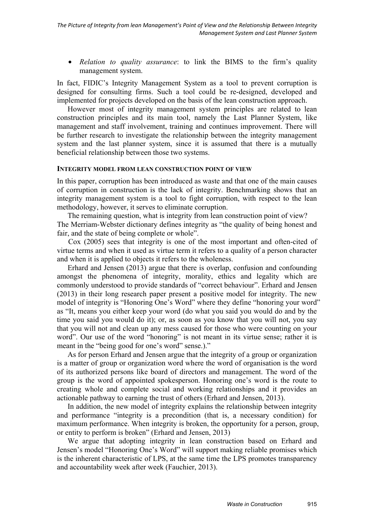• *Relation to quality assurance*: to link the BIMS to the firm's quality management system.

In fact, FIDIC's Integrity Management System as a tool to prevent corruption is designed for consulting firms. Such a tool could be re-designed, developed and implemented for projects developed on the basis of the lean construction approach.

However most of integrity management system principles are related to lean construction principles and its main tool, namely the Last Planner System, like management and staff involvement, training and continues improvement. There will be further research to investigate the relationship between the integrity management system and the last planner system, since it is assumed that there is a mutually beneficial relationship between those two systems.

#### **INTEGRITY MODEL FROM LEAN CONSTRUCTION POINT OF VIEW**

In this paper, corruption has been introduced as waste and that one of the main causes of corruption in construction is the lack of integrity. Benchmarking shows that an integrity management system is a tool to fight corruption, with respect to the lean methodology, however, it serves to eliminate corruption.

The remaining question, what is integrity from lean construction point of view? The Merriam-Webster dictionary defines integrity as "the quality of being honest and fair, and the state of being complete or whole".

 Cox (2005) sees that integrity is one of the most important and often-cited of virtue terms and when it used as virtue term it refers to a quality of a person character and when it is applied to objects it refers to the wholeness.

Erhard and Jensen (2013) argue that there is overlap, confusion and confounding amongst the phenomena of integrity, morality, ethics and legality which are commonly understood to provide standards of "correct behaviour". Erhard and Jensen (2013) in their long research paper present a positive model for integrity. The new model of integrity is "Honoring One's Word" where they define "honoring your word" as "It, means you either keep your word (do what you said you would do and by the time you said you would do it); or, as soon as you know that you will not, you say that you will not and clean up any mess caused for those who were counting on your word". Our use of the word "honoring" is not meant in its virtue sense; rather it is meant in the "being good for one's word" sense.)."

As for person Erhard and Jensen argue that the integrity of a group or organization is a matter of group or organization word where the word of organisation is the word of its authorized persons like board of directors and management. The word of the group is the word of appointed spokesperson. Honoring one's word is the route to creating whole and complete social and working relationships and it provides an actionable pathway to earning the trust of others (Erhard and Jensen, 2013).

In addition, the new model of integrity explains the relationship between integrity and performance "integrity is a precondition (that is, a necessary condition) for maximum performance. When integrity is broken, the opportunity for a person, group, or entity to perform is broken" (Erhard and Jensen, 2013)

We argue that adopting integrity in lean construction based on Erhard and Jensen's model "Honoring One's Word" will support making reliable promises which is the inherent characteristic of LPS, at the same time the LPS promotes transparency and accountability week after week (Fauchier, 2013).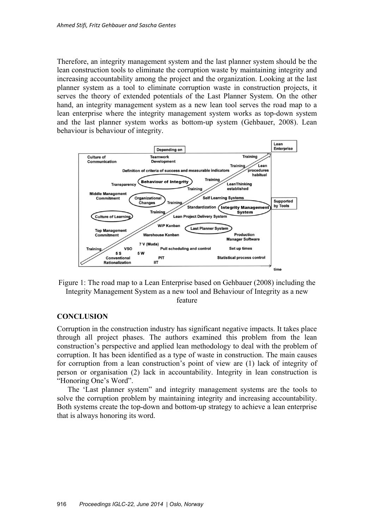Therefore, an integrity management system and the last planner system should be the lean construction tools to eliminate the corruption waste by maintaining integrity and increasing accountability among the project and the organization. Looking at the last planner system as a tool to eliminate corruption waste in construction projects, it serves the theory of extended potentials of the Last Planner System. On the other hand, an integrity management system as a new lean tool serves the road map to a lean enterprise where the integrity management system works as top-down system and the last planner system works as bottom-up system (Gehbauer, 2008). Lean behaviour is behaviour of integrity.



Figure 1: The road map to a Lean Enterprise based on Gehbauer (2008) including the Integrity Management System as a new tool and Behaviour of Integrity as a new feature

#### **CONCLUSION**

Corruption in the construction industry has significant negative impacts. It takes place through all project phases. The authors examined this problem from the lean construction's perspective and applied lean methodology to deal with the problem of corruption. It has been identified as a type of waste in construction. The main causes for corruption from a lean construction's point of view are (1) lack of integrity of person or organisation (2) lack in accountability. Integrity in lean construction is "Honoring One's Word".

The 'Last planner system" and integrity management systems are the tools to solve the corruption problem by maintaining integrity and increasing accountability. Both systems create the top-down and bottom-up strategy to achieve a lean enterprise that is always honoring its word.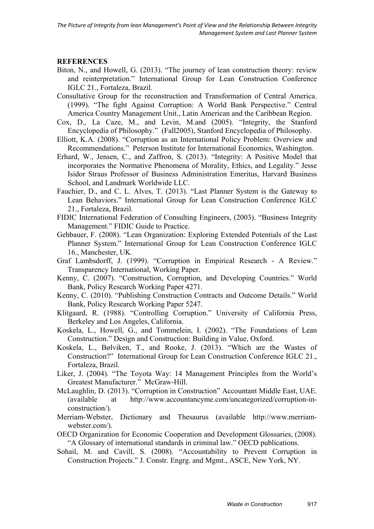## **REFERENCES**

- Biton, N., and Howell, G. (2013). "The journey of lean construction theory: review and reinterpretation." International Group for Lean Construction Conference IGLC 21., Fortaleza, Brazil.
- Consultative Group for the reconstruction and Transformation of Central America. (1999). "The fight Against Corruption: A World Bank Perspective." Central America Country Management Unit., Latin American and the Caribbean Region.
- Cox, D., La Caze, M., and Levin, M.and (2005). "Integrity, the Stanford Encyclopedia of Philosophy." (Fall2005), Stanford Encyclopedia of Philosophy.
- Elliott, K.A. (2008). "Corruption as an International Policy Problem: Overview and Recommendations." Peterson Institute for International Economics, Washington.
- Erhard, W., Jensen, C., and Zaffron, S. (2013). "Integrity: A Positive Model that incorporates the Normative Phenomena of Morality, Ethics, and Legality." Jesse Isidor Straus Professor of Business Administration Emeritus, Harvard Business School, and Landmark Worldwide LLC.
- Fauchier, D., and C. L. Alves, T. (2013). "Last Planner System is the Gateway to Lean Behaviors." International Group for Lean Construction Conference IGLC 21., Fortaleza, Brazil.
- FIDIC International Federation of Consulting Engineers, (2003). "Business Integrity Management." FIDIC Guide to Practice.
- Gehbauer, F. (2008). "Lean Organization: Exploring Extended Potentials of the Last Planner System." International Group for Lean Construction Conference IGLC 16., Manchester, UK.
- Graf Lambsdorff, J. (1999). "Corruption in Empirical Research A Review." Transparency International, Working Paper.
- Kenny, C. (2007). "Construction, Corruption, and Developing Countries." World Bank, Policy Research Working Paper 4271.
- Kenny, C. (2010). "Publishing Construction Contracts and Outcome Details." World Bank, Policy Research Working Paper 5247.
- Klitgaard, R. (1988). "Controlling Corruption." University of California Press, Berkeley and Los Angeles, California.
- Koskela, L., Howell, G., and Tommelein, I. (2002). "The Foundations of Lean Construction." Design and Construction: Building in Value, Oxford.
- Koskela, L., Bølviken, T., and Rooke, J. (2013). "Which are the Wastes of Construction?" International Group for Lean Construction Conference IGLC 21., Fortaleza, Brazil.
- Liker, J. (2004). "The Toyota Way: 14 Management Principles from the World's Greatest Manufacturer." McGraw-Hill.
- McLaughlin, D. (2013). "Corruption in Construction" Accountant Middle East, UAE. (available at http://www.accountancyme.com/uncategorized/corruption-inconstruction/).
- Merriam-Webster, Dictionary and Thesaurus (available http://www.merriamwebster.com/).
- OECD Organization for Economic Cooperation and Development Glossaries, (2008). "A Glossary of international standards in criminal law." OECD publications.
- Sohail, M. and Cavill, S. (2008). "Accountability to Prevent Corruption in Construction Projects." J. Constr. Engrg. and Mgmt., ASCE, New York, NY.